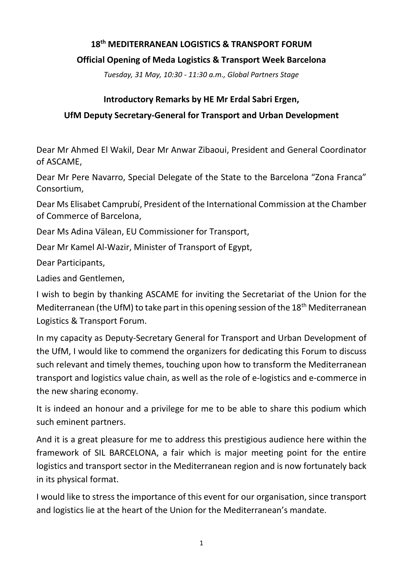## **18th MEDITERRANEAN LOGISTICS & TRANSPORT FORUM**

## **Official Opening of Meda Logistics & Transport Week Barcelona**

*Tuesday, 31 May, 10:30 - 11:30 a.m., Global Partners Stage*

## **Introductory Remarks by HE Mr Erdal Sabri Ergen,**

# **UfM Deputy Secretary-General for Transport and Urban Development**

Dear Mr Ahmed El Wakil, Dear Mr Anwar Zibaoui, President and General Coordinator of ASCAME,

Dear Mr Pere Navarro, Special Delegate of the State to the Barcelona "Zona Franca" Consortium,

Dear Ms Elisabet Camprubí, President of the International Commission at the Chamber of Commerce of Barcelona,

Dear Ms Adina Välean, EU Commissioner for Transport,

Dear Mr Kamel Al-Wazir, Minister of Transport of Egypt,

Dear Participants,

Ladies and Gentlemen,

I wish to begin by thanking ASCAME for inviting the Secretariat of the Union for the Mediterranean (the UfM) to take part in this opening session of the 18<sup>th</sup> Mediterranean Logistics & Transport Forum.

In my capacity as Deputy-Secretary General for Transport and Urban Development of the UfM, I would like to commend the organizers for dedicating this Forum to discuss such relevant and timely themes, touching upon how to transform the Mediterranean transport and logistics value chain, as well as the role of e-logistics and e-commerce in the new sharing economy.

It is indeed an honour and a privilege for me to be able to share this podium which such eminent partners.

And it is a great pleasure for me to address this prestigious audience here within the framework of SIL BARCELONA, a fair which is major meeting point for the entire logistics and transport sector in the Mediterranean region and is now fortunately back in its physical format.

I would like to stress the importance of this event for our organisation, since transport and logistics lie at the heart of the Union for the Mediterranean's mandate.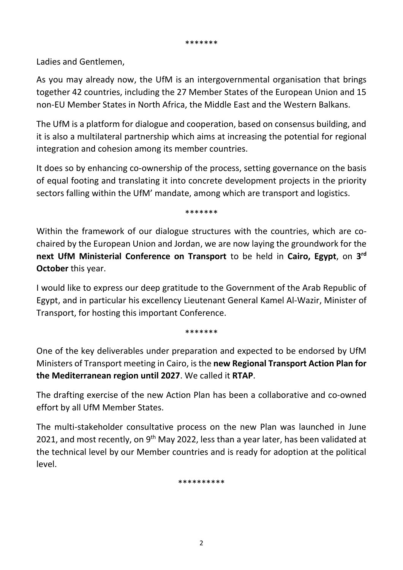\*\*\*\*\*\*\*

Ladies and Gentlemen,

As you may already now, the UfM is an intergovernmental organisation that brings together 42 countries, including the 27 Member States of the European Union and 15 non-EU Member States in North Africa, the Middle East and the Western Balkans.

The UfM is a platform for dialogue and cooperation, based on consensus building, and it is also a multilateral partnership which aims at increasing the potential for regional integration and cohesion among its member countries.

It does so by enhancing co-ownership of the process, setting governance on the basis of equal footing and translating it into concrete development projects in the priority sectors falling within the UfM' mandate, among which are transport and logistics.

\*\*\*\*\*\*\*

Within the framework of our dialogue structures with the countries, which are cochaired by the European Union and Jordan, we are now laying the groundwork for the **next UfM Ministerial Conference on Transport** to be held in **Cairo, Egypt**, on **3 rd October** this year.

I would like to express our deep gratitude to the Government of the Arab Republic of Egypt, and in particular his excellency Lieutenant General Kamel Al-Wazir, Minister of Transport, for hosting this important Conference.

\*\*\*\*\*\*\*

One of the key deliverables under preparation and expected to be endorsed by UfM Ministers of Transport meeting in Cairo, is the **new Regional Transport Action Plan for the Mediterranean region until 2027**. We called it **RTAP**.

The drafting exercise of the new Action Plan has been a collaborative and co-owned effort by all UfM Member States.

The multi-stakeholder consultative process on the new Plan was launched in June 2021, and most recently, on 9<sup>th</sup> May 2022, less than a year later, has been validated at the technical level by our Member countries and is ready for adoption at the political level.

\*\*\*\*\*\*\*\*\*\*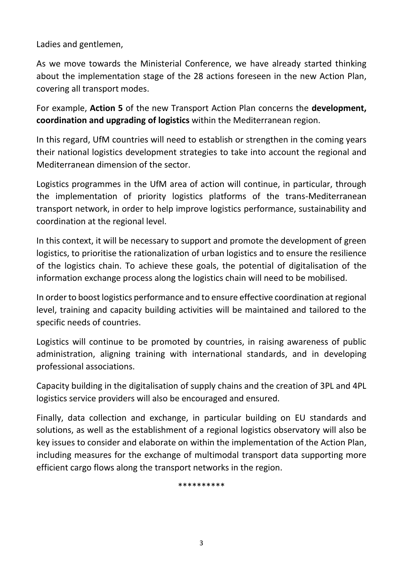Ladies and gentlemen,

As we move towards the Ministerial Conference, we have already started thinking about the implementation stage of the 28 actions foreseen in the new Action Plan, covering all transport modes.

For example, **Action 5** of the new Transport Action Plan concerns the **development, coordination and upgrading of logistics** within the Mediterranean region.

In this regard, UfM countries will need to establish or strengthen in the coming years their national logistics development strategies to take into account the regional and Mediterranean dimension of the sector.

Logistics programmes in the UfM area of action will continue, in particular, through the implementation of priority logistics platforms of the trans-Mediterranean transport network, in order to help improve logistics performance, sustainability and coordination at the regional level.

In this context, it will be necessary to support and promote the development of green logistics, to prioritise the rationalization of urban logistics and to ensure the resilience of the logistics chain. To achieve these goals, the potential of digitalisation of the information exchange process along the logistics chain will need to be mobilised.

In order to boost logistics performance and to ensure effective coordination at regional level, training and capacity building activities will be maintained and tailored to the specific needs of countries.

Logistics will continue to be promoted by countries, in raising awareness of public administration, aligning training with international standards, and in developing professional associations.

Capacity building in the digitalisation of supply chains and the creation of 3PL and 4PL logistics service providers will also be encouraged and ensured.

Finally, data collection and exchange, in particular building on EU standards and solutions, as well as the establishment of a regional logistics observatory will also be key issues to consider and elaborate on within the implementation of the Action Plan, including measures for the exchange of multimodal transport data supporting more efficient cargo flows along the transport networks in the region.

\*\*\*\*\*\*\*\*\*\*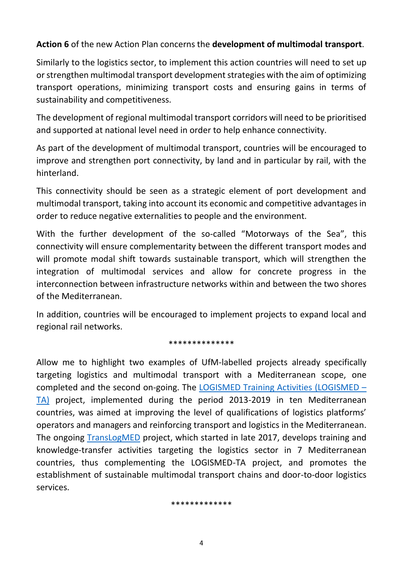## **Action 6** of the new Action Plan concerns the **development of multimodal transport**.

Similarly to the logistics sector, to implement this action countries will need to set up or strengthen multimodal transport development strategies with the aim of optimizing transport operations, minimizing transport costs and ensuring gains in terms of sustainability and competitiveness.

The development of regional multimodal transport corridors will need to be prioritised and supported at national level need in order to help enhance connectivity.

As part of the development of multimodal transport, countries will be encouraged to improve and strengthen port connectivity, by land and in particular by rail, with the hinterland.

This connectivity should be seen as a strategic element of port development and multimodal transport, taking into account its economic and competitive advantages in order to reduce negative externalities to people and the environment.

With the further development of the so-called "Motorways of the Sea", this connectivity will ensure complementarity between the different transport modes and will promote modal shift towards sustainable transport, which will strengthen the integration of multimodal services and allow for concrete progress in the interconnection between infrastructure networks within and between the two shores of the Mediterranean.

In addition, countries will be encouraged to implement projects to expand local and regional rail networks.

#### \*\*\*\*\*\*\*\*\*\*\*\*\*\*

Allow me to highlight two examples of UfM-labelled projects already specifically targeting logistics and multimodal transport with a Mediterranean scope, one completed and the second on-going. The [LOGISMED Training Activities \(LOGISMED](https://ufmsecretariat.org/project/ufm-labelled-project-logismedta-to-contribute-to-the-creation-of-jobs-in-the-region-2/) – [TA\)](https://ufmsecretariat.org/project/ufm-labelled-project-logismedta-to-contribute-to-the-creation-of-jobs-in-the-region-2/) project, implemented during the period 2013-2019 in ten Mediterranean countries, was aimed at improving the level of qualifications of logistics platforms' operators and managers and reinforcing transport and logistics in the Mediterranean. The ongoing [TransLogMED](https://ufmsecretariat.org/project/translogmed-2/) project, which started in late 2017, develops training and knowledge-transfer activities targeting the logistics sector in 7 Mediterranean countries, thus complementing the LOGISMED-TA project, and promotes the establishment of sustainable multimodal transport chains and door-to-door logistics services.

#### \*\*\*\*\*\*\*\*\*\*\*\*\*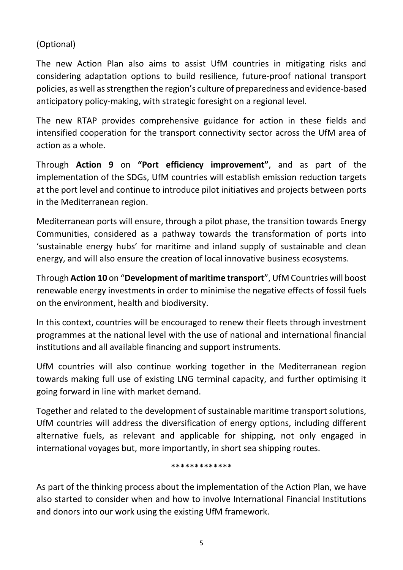## (Optional)

The new Action Plan also aims to assist UfM countries in mitigating risks and considering adaptation options to build resilience, future-proof national transport policies, as well as strengthen the region's culture of preparedness and evidence-based anticipatory policy-making, with strategic foresight on a regional level.

The new RTAP provides comprehensive guidance for action in these fields and intensified cooperation for the transport connectivity sector across the UfM area of action as a whole.

Through **Action 9** on **"Port efficiency improvement"**, and as part of the implementation of the SDGs, UfM countries will establish emission reduction targets at the port level and continue to introduce pilot initiatives and projects between ports in the Mediterranean region.

Mediterranean ports will ensure, through a pilot phase, the transition towards Energy Communities, considered as a pathway towards the transformation of ports into 'sustainable energy hubs' for maritime and inland supply of sustainable and clean energy, and will also ensure the creation of local innovative business ecosystems.

Through **Action 10** on "**Development of maritime transport**", UfM Countries will boost renewable energy investments in order to minimise the negative effects of fossil fuels on the environment, health and biodiversity.

In this context, countries will be encouraged to renew their fleets through investment programmes at the national level with the use of national and international financial institutions and all available financing and support instruments.

UfM countries will also continue working together in the Mediterranean region towards making full use of existing LNG terminal capacity, and further optimising it going forward in line with market demand.

Together and related to the development of sustainable maritime transport solutions, UfM countries will address the diversification of energy options, including different alternative fuels, as relevant and applicable for shipping, not only engaged in international voyages but, more importantly, in short sea shipping routes.

### \*\*\*\*\*\*\*\*\*\*\*\*\*

As part of the thinking process about the implementation of the Action Plan, we have also started to consider when and how to involve International Financial Institutions and donors into our work using the existing UfM framework.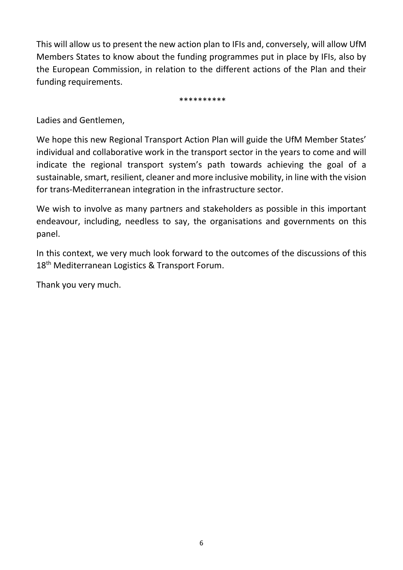This will allow us to present the new action plan to IFIs and, conversely, will allow UfM Members States to know about the funding programmes put in place by IFIs, also by the European Commission, in relation to the different actions of the Plan and their funding requirements.

\*\*\*\*\*\*\*\*\*\*

Ladies and Gentlemen,

We hope this new Regional Transport Action Plan will guide the UfM Member States' individual and collaborative work in the transport sector in the years to come and will indicate the regional transport system's path towards achieving the goal of a sustainable, smart, resilient, cleaner and more inclusive mobility, in line with the vision for trans-Mediterranean integration in the infrastructure sector.

We wish to involve as many partners and stakeholders as possible in this important endeavour, including, needless to say, the organisations and governments on this panel.

In this context, we very much look forward to the outcomes of the discussions of this 18<sup>th</sup> Mediterranean Logistics & Transport Forum.

Thank you very much.